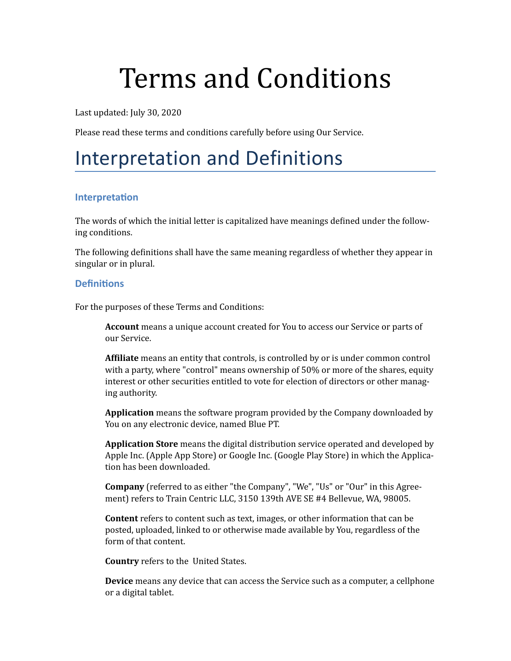# Terms and Conditions

Last updated: July 30, 2020

Please read these terms and conditions carefully before using Our Service.

## Interpretation and Definitions

### **Interpretation**

The words of which the initial letter is capitalized have meanings defined under the following conditions.

The following definitions shall have the same meaning regardless of whether they appear in singular or in plural.

#### **Definitions**

For the purposes of these Terms and Conditions:

**Account** means a unique account created for You to access our Service or parts of our Service.

Affiliate means an entity that controls, is controlled by or is under common control with a party, where "control" means ownership of  $50\%$  or more of the shares, equity interest or other securities entitled to vote for election of directors or other managing authority.

**Application** means the software program provided by the Company downloaded by You on any electronic device, named Blue PT.

**Application Store** means the digital distribution service operated and developed by Apple Inc. (Apple App Store) or Google Inc. (Google Play Store) in which the Application has been downloaded.

**Company** (referred to as either "the Company", "We", "Us" or "Our" in this Agreement) refers to Train Centric LLC, 3150 139th AVE SE #4 Bellevue, WA, 98005.

**Content** refers to content such as text, images, or other information that can be posted, uploaded, linked to or otherwise made available by You, regardless of the form of that content.

**Country** refers to the United States.

**Device** means any device that can access the Service such as a computer, a cellphone or a digital tablet.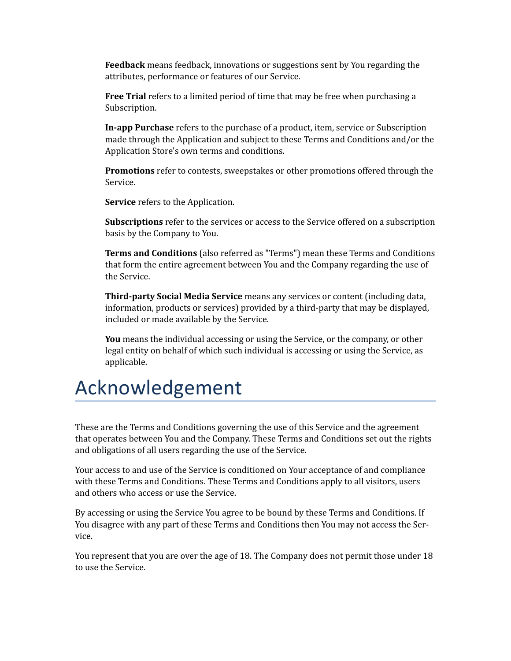**Feedback** means feedback, innovations or suggestions sent by You regarding the attributes, performance or features of our Service.

**Free Trial** refers to a limited period of time that may be free when purchasing a Subscription. 

**In-app Purchase** refers to the purchase of a product, item, service or Subscription made through the Application and subject to these Terms and Conditions and/or the Application Store's own terms and conditions.

**Promotions** refer to contests, sweepstakes or other promotions offered through the Service. 

**Service** refers to the Application.

**Subscriptions** refer to the services or access to the Service offered on a subscription basis by the Company to You.

**Terms and Conditions** (also referred as "Terms") mean these Terms and Conditions that form the entire agreement between You and the Company regarding the use of the Service.

**Third-party Social Media Service** means any services or content (including data, information, products or services) provided by a third-party that may be displayed, included or made available by the Service.

**You** means the individual accessing or using the Service, or the company, or other legal entity on behalf of which such individual is accessing or using the Service, as applicable. 

## Acknowledgement

These are the Terms and Conditions governing the use of this Service and the agreement that operates between You and the Company. These Terms and Conditions set out the rights and obligations of all users regarding the use of the Service.

Your access to and use of the Service is conditioned on Your acceptance of and compliance with these Terms and Conditions. These Terms and Conditions apply to all visitors, users and others who access or use the Service.

By accessing or using the Service You agree to be bound by these Terms and Conditions. If You disagree with any part of these Terms and Conditions then You may not access the Service. 

You represent that you are over the age of 18. The Company does not permit those under 18 to use the Service.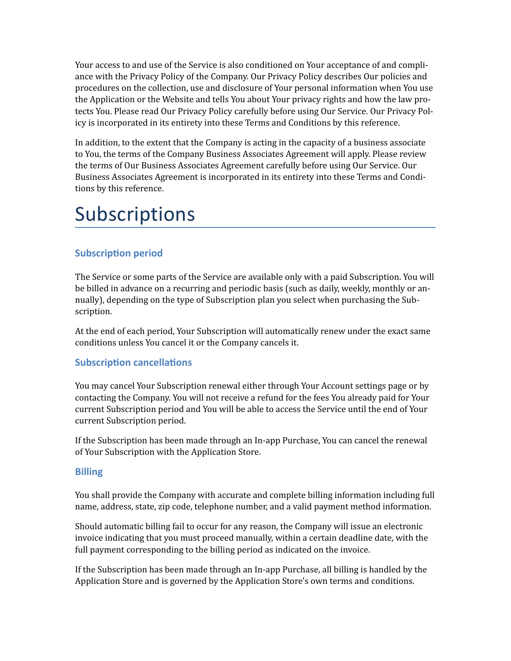Your access to and use of the Service is also conditioned on Your acceptance of and compliance with the Privacy Policy of the Company. Our Privacy Policy describes Our policies and procedures on the collection, use and disclosure of Your personal information when You use the Application or the Website and tells You about Your privacy rights and how the law protects You. Please read Our Privacy Policy carefully before using Our Service. Our Privacy Policy is incorporated in its entirety into these Terms and Conditions by this reference.

In addition, to the extent that the Company is acting in the capacity of a business associate to You, the terms of the Company Business Associates Agreement will apply. Please review the terms of Our Business Associates Agreement carefully before using Our Service. Our Business Associates Agreement is incorporated in its entirety into these Terms and Conditions by this reference.

# Subscriptions

## **Subscription period**

The Service or some parts of the Service are available only with a paid Subscription. You will be billed in advance on a recurring and periodic basis (such as daily, weekly, monthly or annually), depending on the type of Subscription plan you select when purchasing the Subscription. 

At the end of each period, Your Subscription will automatically renew under the exact same conditions unless You cancel it or the Company cancels it.

### **Subscription cancellations**

You may cancel Your Subscription renewal either through Your Account settings page or by contacting the Company. You will not receive a refund for the fees You already paid for Your current Subscription period and You will be able to access the Service until the end of Your current Subscription period.

If the Subscription has been made through an In-app Purchase, You can cancel the renewal of Your Subscription with the Application Store.

### **Billing**

You shall provide the Company with accurate and complete billing information including full name, address, state, zip code, telephone number, and a valid payment method information.

Should automatic billing fail to occur for any reason, the Company will issue an electronic invoice indicating that you must proceed manually, within a certain deadline date, with the full payment corresponding to the billing period as indicated on the invoice.

If the Subscription has been made through an In-app Purchase, all billing is handled by the Application Store and is governed by the Application Store's own terms and conditions.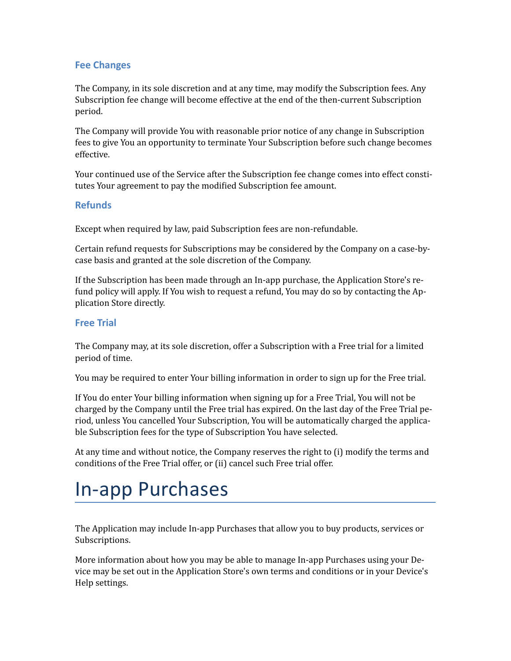### **Fee Changes**

The Company, in its sole discretion and at any time, may modify the Subscription fees. Any Subscription fee change will become effective at the end of the then-current Subscription period. 

The Company will provide You with reasonable prior notice of any change in Subscription fees to give You an opportunity to terminate Your Subscription before such change becomes effective. 

Your continued use of the Service after the Subscription fee change comes into effect constitutes Your agreement to pay the modified Subscription fee amount.

### **Refunds**

Except when required by law, paid Subscription fees are non-refundable.

Certain refund requests for Subscriptions may be considered by the Company on a case-bycase basis and granted at the sole discretion of the Company.

If the Subscription has been made through an In-app purchase, the Application Store's refund policy will apply. If You wish to request a refund, You may do so by contacting the Application Store directly.

### **Free Trial**

The Company may, at its sole discretion, offer a Subscription with a Free trial for a limited period of time.

You may be required to enter Your billing information in order to sign up for the Free trial.

If You do enter Your billing information when signing up for a Free Trial, You will not be charged by the Company until the Free trial has expired. On the last day of the Free Trial period, unless You cancelled Your Subscription, You will be automatically charged the applicable Subscription fees for the type of Subscription You have selected.

At any time and without notice, the Company reserves the right to (i) modify the terms and conditions of the Free Trial offer, or (ii) cancel such Free trial offer.

# In-app Purchases

The Application may include In-app Purchases that allow you to buy products, services or Subscriptions. 

More information about how you may be able to manage In-app Purchases using your Device may be set out in the Application Store's own terms and conditions or in your Device's Help settings.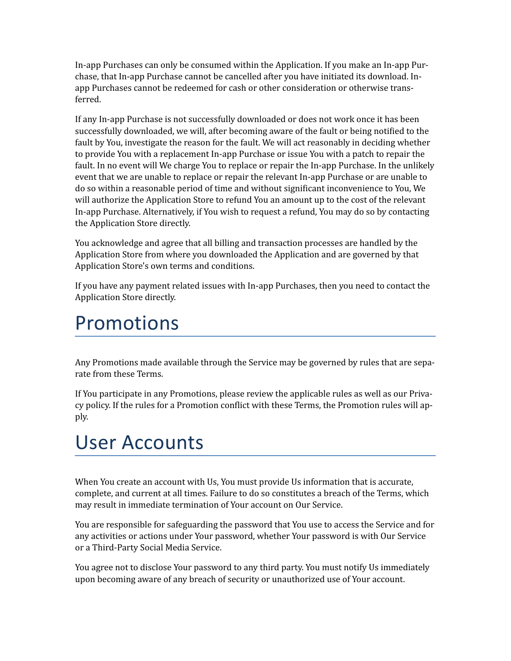In-app Purchases can only be consumed within the Application. If you make an In-app Purchase, that In-app Purchase cannot be cancelled after you have initiated its download. Inapp Purchases cannot be redeemed for cash or other consideration or otherwise transferred. 

If any In-app Purchase is not successfully downloaded or does not work once it has been successfully downloaded, we will, after becoming aware of the fault or being notified to the fault by You, investigate the reason for the fault. We will act reasonably in deciding whether to provide You with a replacement In-app Purchase or issue You with a patch to repair the fault. In no event will We charge You to replace or repair the In-app Purchase. In the unlikely event that we are unable to replace or repair the relevant In-app Purchase or are unable to do so within a reasonable period of time and without significant inconvenience to You, We will authorize the Application Store to refund You an amount up to the cost of the relevant In-app Purchase. Alternatively, if You wish to request a refund, You may do so by contacting the Application Store directly.

You acknowledge and agree that all billing and transaction processes are handled by the Application Store from where you downloaded the Application and are governed by that Application Store's own terms and conditions.

If you have any payment related issues with In-app Purchases, then you need to contact the Application Store directly.

## Promotions

Any Promotions made available through the Service may be governed by rules that are separate from these Terms.

If You participate in any Promotions, please review the applicable rules as well as our Privacy policy. If the rules for a Promotion conflict with these Terms, the Promotion rules will apply. 

# User Accounts

When You create an account with Us, You must provide Us information that is accurate, complete, and current at all times. Failure to do so constitutes a breach of the Terms, which may result in immediate termination of Your account on Our Service.

You are responsible for safeguarding the password that You use to access the Service and for any activities or actions under Your password, whether Your password is with Our Service or a Third-Party Social Media Service.

You agree not to disclose Your password to any third party. You must notify Us immediately upon becoming aware of any breach of security or unauthorized use of Your account.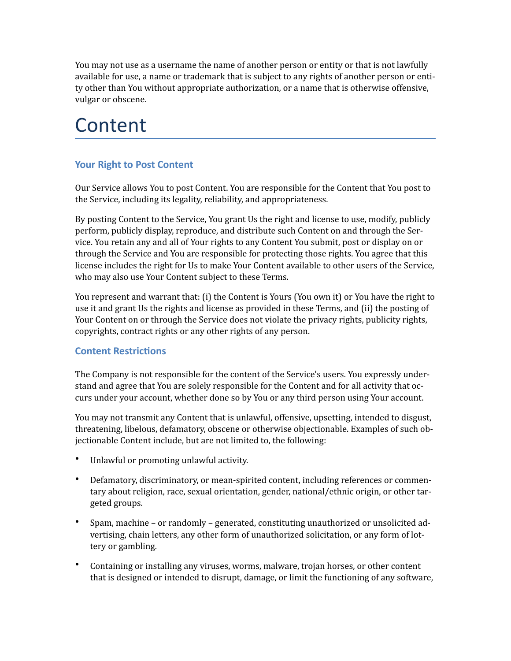You may not use as a username the name of another person or entity or that is not lawfully available for use, a name or trademark that is subject to any rights of another person or entity other than You without appropriate authorization, or a name that is otherwise offensive, vulgar or obscene.

# Content

## **Your Right to Post Content**

Our Service allows You to post Content. You are responsible for the Content that You post to the Service, including its legality, reliability, and appropriateness.

By posting Content to the Service, You grant Us the right and license to use, modify, publicly perform, publicly display, reproduce, and distribute such Content on and through the Service. You retain any and all of Your rights to any Content You submit, post or display on or through the Service and You are responsible for protecting those rights. You agree that this license includes the right for Us to make Your Content available to other users of the Service, who may also use Your Content subject to these Terms.

You represent and warrant that: (i) the Content is Yours (You own it) or You have the right to use it and grant Us the rights and license as provided in these Terms, and (ii) the posting of Your Content on or through the Service does not violate the privacy rights, publicity rights, copyrights, contract rights or any other rights of any person.

## **Content Restrictions**

The Company is not responsible for the content of the Service's users. You expressly understand and agree that You are solely responsible for the Content and for all activity that occurs under your account, whether done so by You or any third person using Your account.

You may not transmit any Content that is unlawful, offensive, upsetting, intended to disgust, threatening, libelous, defamatory, obscene or otherwise objectionable. Examples of such objectionable Content include, but are not limited to, the following:

- Unlawful or promoting unlawful activity.
- Defamatory, discriminatory, or mean-spirited content, including references or commentary about religion, race, sexual orientation, gender, national/ethnic origin, or other targeted groups.
- Spam, machine or randomly generated, constituting unauthorized or unsolicited advertising, chain letters, any other form of unauthorized solicitation, or any form of lottery or gambling.
- Containing or installing any viruses, worms, malware, trojan horses, or other content that is designed or intended to disrupt, damage, or limit the functioning of any software,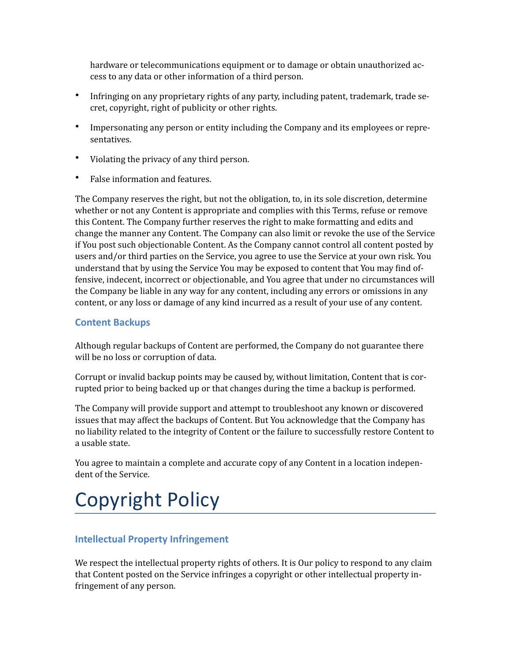hardware or telecommunications equipment or to damage or obtain unauthorized access to any data or other information of a third person.

- Infringing on any proprietary rights of any party, including patent, trademark, trade secret, copyright, right of publicity or other rights.
- Impersonating any person or entity including the Company and its employees or representatives.
- Violating the privacy of any third person.
- False information and features.

The Company reserves the right, but not the obligation, to, in its sole discretion, determine whether or not any Content is appropriate and complies with this Terms, refuse or remove this Content. The Company further reserves the right to make formatting and edits and change the manner any Content. The Company can also limit or revoke the use of the Service if You post such objectionable Content. As the Company cannot control all content posted by users and/or third parties on the Service, you agree to use the Service at your own risk. You understand that by using the Service You may be exposed to content that You may find offensive, indecent, incorrect or objectionable, and You agree that under no circumstances will the Company be liable in any way for any content, including any errors or omissions in any content, or any loss or damage of any kind incurred as a result of your use of any content.

### **Content Backups**

Although regular backups of Content are performed, the Company do not guarantee there will be no loss or corruption of data.

Corrupt or invalid backup points may be caused by, without limitation, Content that is corrupted prior to being backed up or that changes during the time a backup is performed.

The Company will provide support and attempt to troubleshoot any known or discovered issues that may affect the backups of Content. But You acknowledge that the Company has no liability related to the integrity of Content or the failure to successfully restore Content to a usable state.

You agree to maintain a complete and accurate copy of any Content in a location independent of the Service.

# Copyright Policy

## **Intellectual Property Infringement**

We respect the intellectual property rights of others. It is Our policy to respond to any claim that Content posted on the Service infringes a copyright or other intellectual property infringement of any person.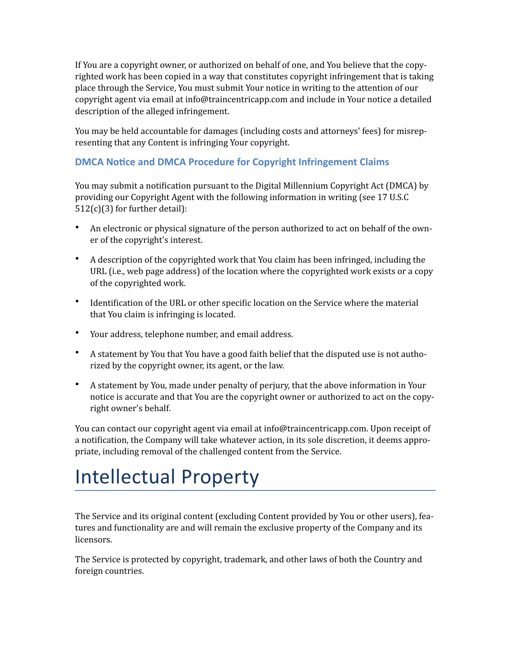If You are a copyright owner, or authorized on behalf of one, and You believe that the copyrighted work has been copied in a way that constitutes copyright infringement that is taking place through the Service, You must submit Your notice in writing to the attention of our copyright agent via email at info@traincentricapp.com and include in Your notice a detailed description of the alleged infringement.

You may be held accountable for damages (including costs and attorneys' fees) for misrepresenting that any Content is infringing Your copyright.

## **DMCA Notice and DMCA Procedure for Copyright Infringement Claims**

You may submit a notification pursuant to the Digital Millennium Copyright Act (DMCA) by providing our Copyright Agent with the following information in writing (see 17 U.S.C  $512(c)(3)$  for further detail):

- An electronic or physical signature of the person authorized to act on behalf of the owner of the copyright's interest.
- A description of the copyrighted work that You claim has been infringed, including the URL (i.e., web page address) of the location where the copyrighted work exists or a copy of the copyrighted work.
- Identification of the URL or other specific location on the Service where the material that You claim is infringing is located.
- Your address, telephone number, and email address.
- A statement by You that You have a good faith belief that the disputed use is not authorized by the copyright owner, its agent, or the law.
- A statement by You, made under penalty of perjury, that the above information in Your notice is accurate and that You are the copyright owner or authorized to act on the copyright owner's behalf.

You can contact our copyright agent via email at info@traincentricapp.com. Upon receipt of a notification, the Company will take whatever action, in its sole discretion, it deems appropriate, including removal of the challenged content from the Service.

# Intellectual Property

The Service and its original content (excluding Content provided by You or other users), features and functionality are and will remain the exclusive property of the Company and its licensors. 

The Service is protected by copyright, trademark, and other laws of both the Country and foreign countries.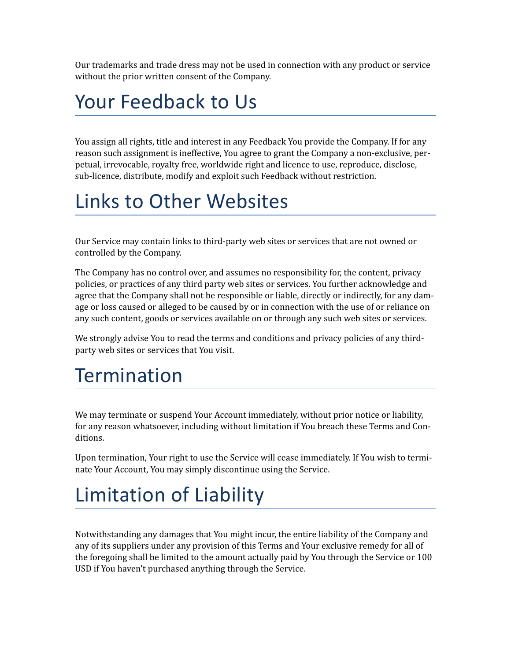Our trademarks and trade dress may not be used in connection with any product or service without the prior written consent of the Company.

# Your Feedback to Us

You assign all rights, title and interest in any Feedback You provide the Company. If for any reason such assignment is ineffective, You agree to grant the Company a non-exclusive, perpetual, irrevocable, royalty free, worldwide right and licence to use, reproduce, disclose, sub-licence, distribute, modify and exploit such Feedback without restriction.

# Links to Other Websites

Our Service may contain links to third-party web sites or services that are not owned or controlled by the Company.

The Company has no control over, and assumes no responsibility for, the content, privacy policies, or practices of any third party web sites or services. You further acknowledge and agree that the Company shall not be responsible or liable, directly or indirectly, for any damage or loss caused or alleged to be caused by or in connection with the use of or reliance on any such content, goods or services available on or through any such web sites or services.

We strongly advise You to read the terms and conditions and privacy policies of any thirdparty web sites or services that You visit.

# **Termination**

We may terminate or suspend Your Account immediately, without prior notice or liability, for any reason whatsoever, including without limitation if You breach these Terms and Conditions. 

Upon termination, Your right to use the Service will cease immediately. If You wish to terminate Your Account, You may simply discontinue using the Service.

# Limitation of Liability

Notwithstanding any damages that You might incur, the entire liability of the Company and any of its suppliers under any provision of this Terms and Your exclusive remedy for all of the foregoing shall be limited to the amount actually paid by You through the Service or 100 USD if You haven't purchased anything through the Service.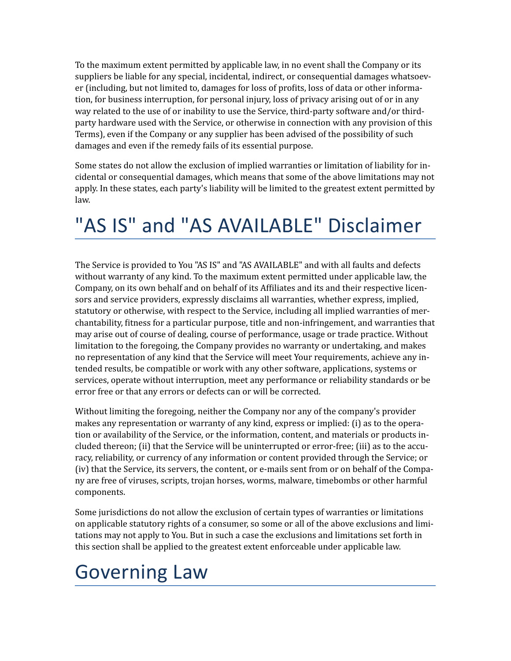To the maximum extent permitted by applicable law, in no event shall the Company or its suppliers be liable for any special, incidental, indirect, or consequential damages whatsoever (including, but not limited to, damages for loss of profits, loss of data or other information, for business interruption, for personal injury, loss of privacy arising out of or in any way related to the use of or inability to use the Service, third-party software and/or thirdparty hardware used with the Service, or otherwise in connection with any provision of this Terms), even if the Company or any supplier has been advised of the possibility of such damages and even if the remedy fails of its essential purpose.

Some states do not allow the exclusion of implied warranties or limitation of liability for incidental or consequential damages, which means that some of the above limitations may not apply. In these states, each party's liability will be limited to the greatest extent permitted by law. 

# "AS IS" and "AS AVAILABLE" Disclaimer

The Service is provided to You "AS IS" and "AS AVAILABLE" and with all faults and defects without warranty of any kind. To the maximum extent permitted under applicable law, the Company, on its own behalf and on behalf of its Affiliates and its and their respective licensors and service providers, expressly disclaims all warranties, whether express, implied, statutory or otherwise, with respect to the Service, including all implied warranties of merchantability, fitness for a particular purpose, title and non-infringement, and warranties that may arise out of course of dealing, course of performance, usage or trade practice. Without limitation to the foregoing, the Company provides no warranty or undertaking, and makes no representation of any kind that the Service will meet Your requirements, achieve any intended results, be compatible or work with any other software, applications, systems or services, operate without interruption, meet any performance or reliability standards or be error free or that any errors or defects can or will be corrected.

Without limiting the foregoing, neither the Company nor any of the company's provider makes any representation or warranty of any kind, express or implied:  $(i)$  as to the operation or availability of the Service, or the information, content, and materials or products included thereon; (ii) that the Service will be uninterrupted or error-free; (iii) as to the accuracy, reliability, or currency of any information or content provided through the Service; or (iv) that the Service, its servers, the content, or e-mails sent from or on behalf of the Company are free of viruses, scripts, trojan horses, worms, malware, timebombs or other harmful components. 

Some jurisdictions do not allow the exclusion of certain types of warranties or limitations on applicable statutory rights of a consumer, so some or all of the above exclusions and limitations may not apply to You. But in such a case the exclusions and limitations set forth in this section shall be applied to the greatest extent enforceable under applicable law.

# Governing Law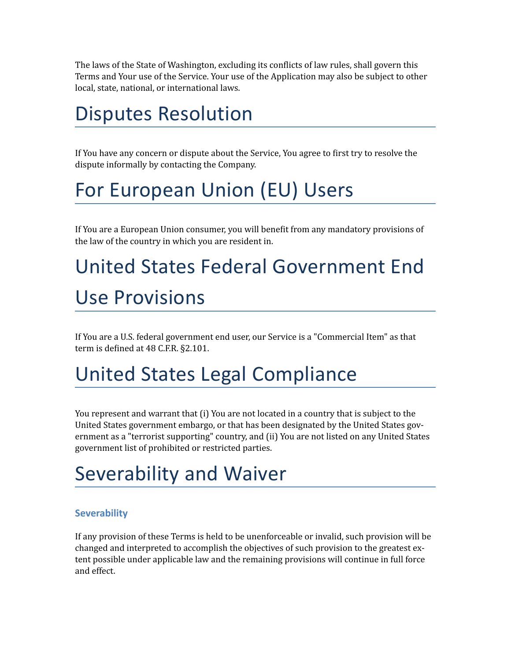The laws of the State of Washington, excluding its conflicts of law rules, shall govern this Terms and Your use of the Service. Your use of the Application may also be subject to other local, state, national, or international laws.

# Disputes Resolution

If You have any concern or dispute about the Service, You agree to first try to resolve the dispute informally by contacting the Company.

# For European Union (EU) Users

If You are a European Union consumer, you will benefit from any mandatory provisions of the law of the country in which you are resident in.

# United States Federal Government End Use Provisions

If You are a U.S. federal government end user, our Service is a "Commercial Item" as that term is defined at  $48$  C.F.R.  $\S 2.101$ .

# United States Legal Compliance

You represent and warrant that (i) You are not located in a country that is subject to the United States government embargo, or that has been designated by the United States government as a "terrorist supporting" country, and (ii) You are not listed on any United States government list of prohibited or restricted parties.

# Severability and Waiver

## **Severability**

If any provision of these Terms is held to be unenforceable or invalid, such provision will be changed and interpreted to accomplish the objectives of such provision to the greatest extent possible under applicable law and the remaining provisions will continue in full force and effect.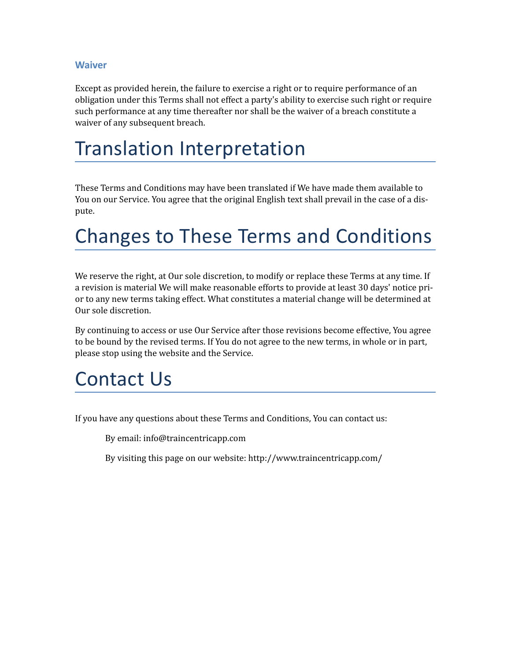### **Waiver**

Except as provided herein, the failure to exercise a right or to require performance of an obligation under this Terms shall not effect a party's ability to exercise such right or require such performance at any time thereafter nor shall be the waiver of a breach constitute a waiver of any subsequent breach.

# Translation Interpretation

These Terms and Conditions may have been translated if We have made them available to You on our Service. You agree that the original English text shall prevail in the case of a dispute. 

# Changes to These Terms and Conditions

We reserve the right, at Our sole discretion, to modify or replace these Terms at any time. If a revision is material We will make reasonable efforts to provide at least 30 days' notice prior to any new terms taking effect. What constitutes a material change will be determined at Our sole discretion.

By continuing to access or use Our Service after those revisions become effective, You agree to be bound by the revised terms. If You do not agree to the new terms, in whole or in part, please stop using the website and the Service.

## Contact Us

If you have any questions about these Terms and Conditions, You can contact us:

By email: info@traincentricapp.com

By visiting this page on our website: <http://www.traincentricapp.com/>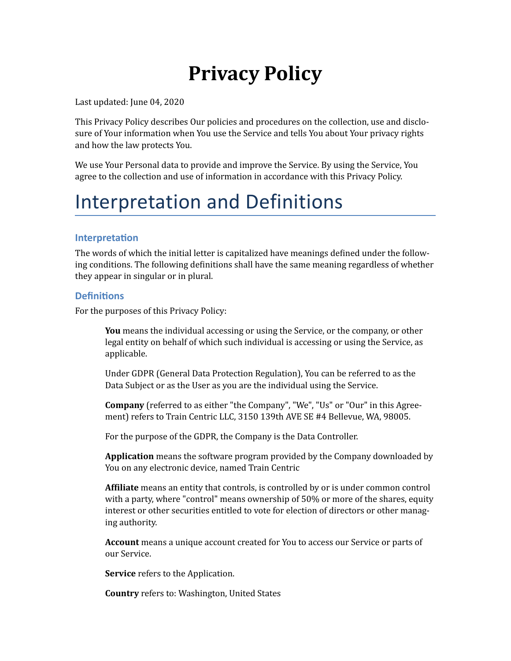# **Privacy Policy**

Last updated: June 04, 2020

This Privacy Policy describes Our policies and procedures on the collection, use and disclosure of Your information when You use the Service and tells You about Your privacy rights and how the law protects You.

We use Your Personal data to provide and improve the Service. By using the Service, You agree to the collection and use of information in accordance with this Privacy Policy.

# Interpretation and Definitions

### **Interpretation**

The words of which the initial letter is capitalized have meanings defined under the following conditions. The following definitions shall have the same meaning regardless of whether they appear in singular or in plural.

#### **Definitions**

For the purposes of this Privacy Policy:

**You** means the individual accessing or using the Service, or the company, or other legal entity on behalf of which such individual is accessing or using the Service, as applicable. 

Under GDPR (General Data Protection Regulation), You can be referred to as the Data Subject or as the User as you are the individual using the Service.

**Company** (referred to as either "the Company", "We", "Us" or "Our" in this Agreement) refers to Train Centric LLC, 3150 139th AVE SE #4 Bellevue, WA, 98005.

For the purpose of the GDPR, the Company is the Data Controller.

**Application** means the software program provided by the Company downloaded by You on any electronic device, named Train Centric

**Affiliate** means an entity that controls, is controlled by or is under common control with a party, where "control" means ownership of  $50\%$  or more of the shares, equity interest or other securities entitled to vote for election of directors or other managing authority.

**Account** means a unique account created for You to access our Service or parts of our Service.

**Service** refers to the Application.

**Country** refers to: Washington, United States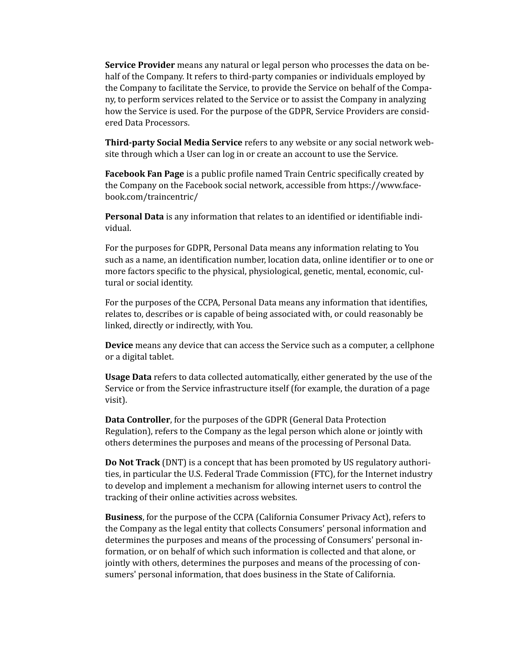**Service Provider** means any natural or legal person who processes the data on behalf of the Company. It refers to third-party companies or individuals employed by the Company to facilitate the Service, to provide the Service on behalf of the Company, to perform services related to the Service or to assist the Company in analyzing how the Service is used. For the purpose of the GDPR, Service Providers are considered Data Processors.

**Third-party Social Media Service** refers to any website or any social network website through which a User can log in or create an account to use the Service.

**Facebook Fan Page** is a public profile named Train Centric specifically created by the Company on the Facebook social network, accessible from [https://www.face](https://www.facebook.com/traincentric/)[book.com/traincentric/](https://www.facebook.com/traincentric/) 

**Personal Data** is any information that relates to an identified or identifiable individual. 

For the purposes for GDPR, Personal Data means any information relating to You such as a name, an identification number, location data, online identifier or to one or more factors specific to the physical, physiological, genetic, mental, economic, cultural or social identity.

For the purposes of the CCPA, Personal Data means any information that identifies, relates to, describes or is capable of being associated with, or could reasonably be linked, directly or indirectly, with You.

**Device** means any device that can access the Service such as a computer, a cellphone or a digital tablet.

**Usage Data** refers to data collected automatically, either generated by the use of the Service or from the Service infrastructure itself (for example, the duration of a page visit). 

**Data Controller**, for the purposes of the GDPR (General Data Protection Regulation), refers to the Company as the legal person which alone or jointly with others determines the purposes and means of the processing of Personal Data.

**Do Not Track** (DNT) is a concept that has been promoted by US regulatory authorities, in particular the U.S. Federal Trade Commission (FTC), for the Internet industry to develop and implement a mechanism for allowing internet users to control the tracking of their online activities across websites.

**Business**, for the purpose of the CCPA (California Consumer Privacy Act), refers to the Company as the legal entity that collects Consumers' personal information and determines the purposes and means of the processing of Consumers' personal information, or on behalf of which such information is collected and that alone, or jointly with others, determines the purposes and means of the processing of consumers' personal information, that does business in the State of California.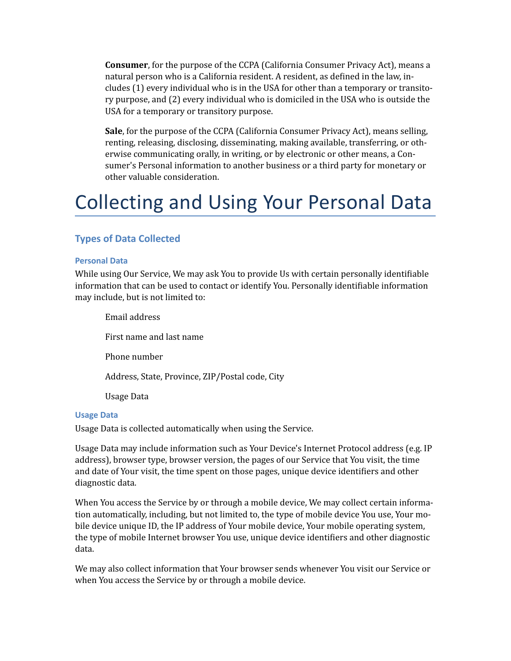**Consumer**, for the purpose of the CCPA (California Consumer Privacy Act), means a natural person who is a California resident. A resident, as defined in the law, includes  $(1)$  every individual who is in the USA for other than a temporary or transitory purpose, and (2) every individual who is domiciled in the USA who is outside the USA for a temporary or transitory purpose.

**Sale**, for the purpose of the CCPA (California Consumer Privacy Act), means selling, renting, releasing, disclosing, disseminating, making available, transferring, or otherwise communicating orally, in writing, or by electronic or other means, a Consumer's Personal information to another business or a third party for monetary or other valuable consideration.

# Collecting and Using Your Personal Data

## **Types of Data Collected**

#### **Personal Data**

While using Our Service, We may ask You to provide Us with certain personally identifiable information that can be used to contact or identify You. Personally identifiable information may include, but is not limited to:

Email address First name and last name Phone number Address, State, Province, ZIP/Postal code, City Usage Data 

#### **Usage Data**

Usage Data is collected automatically when using the Service.

Usage Data may include information such as Your Device's Internet Protocol address (e.g. IP address), browser type, browser version, the pages of our Service that You visit, the time and date of Your visit, the time spent on those pages, unique device identifiers and other diagnostic data.

When You access the Service by or through a mobile device, We may collect certain information automatically, including, but not limited to, the type of mobile device You use, Your mobile device unique ID, the IP address of Your mobile device, Your mobile operating system, the type of mobile Internet browser You use, unique device identifiers and other diagnostic data. 

We may also collect information that Your browser sends whenever You visit our Service or when You access the Service by or through a mobile device.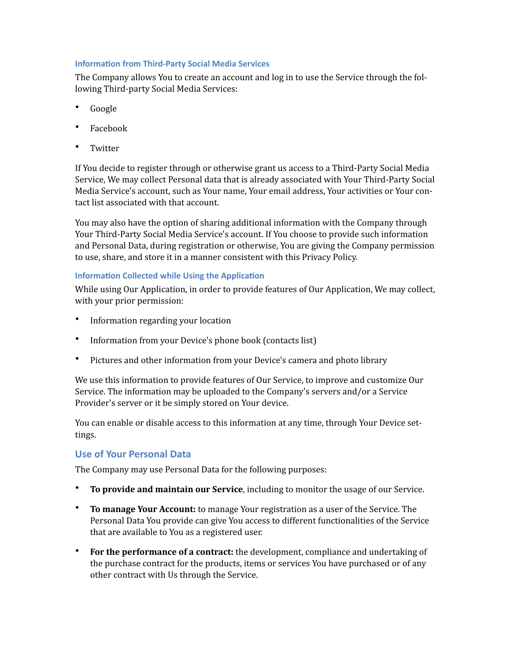#### **Information from Third-Party Social Media Services**

The Company allows You to create an account and log in to use the Service through the following Third-party Social Media Services:

- Google
- Facebook
- Twitter

If You decide to register through or otherwise grant us access to a Third-Party Social Media Service, We may collect Personal data that is already associated with Your Third-Party Social Media Service's account, such as Your name, Your email address, Your activities or Your contact list associated with that account.

You may also have the option of sharing additional information with the Company through Your Third-Party Social Media Service's account. If You choose to provide such information and Personal Data, during registration or otherwise, You are giving the Company permission to use, share, and store it in a manner consistent with this Privacy Policy.

#### **Information Collected while Using the Application**

While using Our Application, in order to provide features of Our Application, We may collect, with your prior permission:

- Information regarding your location
- Information from your Device's phone book (contacts list)
- Pictures and other information from your Device's camera and photo library

We use this information to provide features of Our Service, to improve and customize Our Service. The information may be uploaded to the Company's servers and/or a Service Provider's server or it be simply stored on Your device.

You can enable or disable access to this information at any time, through Your Device settings. 

### **Use of Your Personal Data**

The Company may use Personal Data for the following purposes:

- To provide and maintain our Service, including to monitor the usage of our Service.
- **To manage Your Account:** to manage Your registration as a user of the Service. The Personal Data You provide can give You access to different functionalities of the Service that are available to You as a registered user.
- For the performance of a contract: the development, compliance and undertaking of the purchase contract for the products, items or services You have purchased or of any other contract with Us through the Service.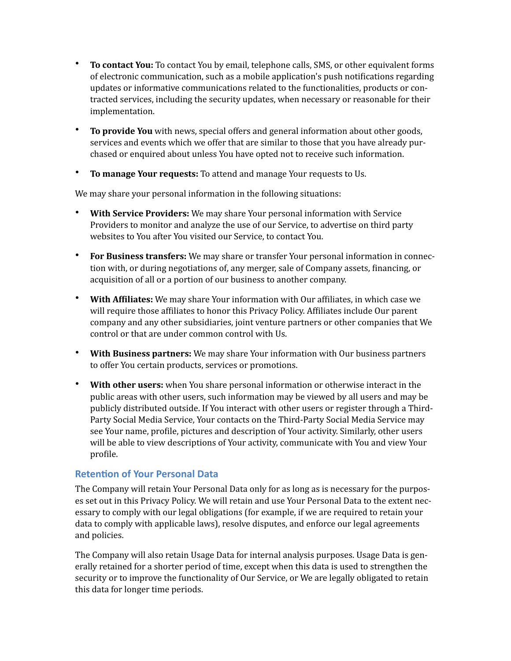- To contact You: To contact You by email, telephone calls, SMS, or other equivalent forms of electronic communication, such as a mobile application's push notifications regarding updates or informative communications related to the functionalities, products or contracted services, including the security updates, when necessary or reasonable for their implementation.
- To provide You with news, special offers and general information about other goods, services and events which we offer that are similar to those that you have already purchased or enquired about unless You have opted not to receive such information.
- To manage Your requests: To attend and manage Your requests to Us.

We may share your personal information in the following situations:

- **With Service Providers:** We may share Your personal information with Service Providers to monitor and analyze the use of our Service, to advertise on third party websites to You after You visited our Service, to contact You.
- **For Business transfers:** We may share or transfer Your personal information in connection with, or during negotiations of, any merger, sale of Company assets, financing, or acquisition of all or a portion of our business to another company.
- **With Affiliates:** We may share Your information with Our affiliates, in which case we will require those affiliates to honor this Privacy Policy. Affiliates include Our parent company and any other subsidiaries, joint venture partners or other companies that We control or that are under common control with Us.
- With Business partners: We may share Your information with Our business partners to offer You certain products, services or promotions.
- With other users: when You share personal information or otherwise interact in the public areas with other users, such information may be viewed by all users and may be publicly distributed outside. If You interact with other users or register through a Third-Party Social Media Service, Your contacts on the Third-Party Social Media Service may see Your name, profile, pictures and description of Your activity. Similarly, other users will be able to view descriptions of Your activity, communicate with You and view Your profile.

### **Retention of Your Personal Data**

The Company will retain Your Personal Data only for as long as is necessary for the purposes set out in this Privacy Policy. We will retain and use Your Personal Data to the extent necessary to comply with our legal obligations (for example, if we are required to retain your data to comply with applicable laws), resolve disputes, and enforce our legal agreements and policies.

The Company will also retain Usage Data for internal analysis purposes. Usage Data is generally retained for a shorter period of time, except when this data is used to strengthen the security or to improve the functionality of Our Service, or We are legally obligated to retain this data for longer time periods.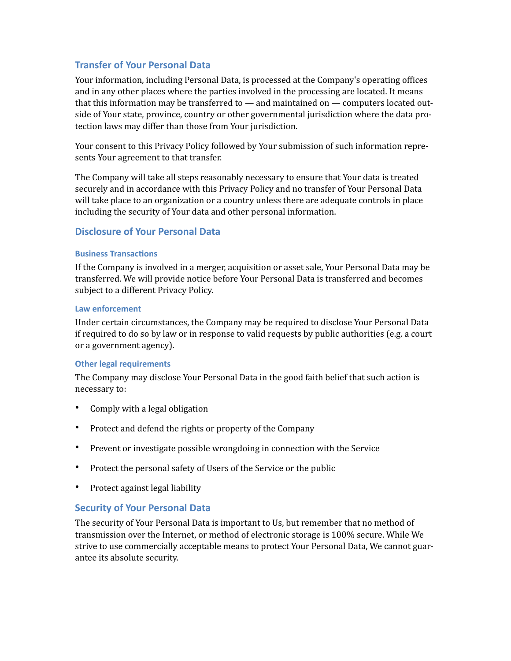## **Transfer of Your Personal Data**

Your information, including Personal Data, is processed at the Company's operating offices and in any other places where the parties involved in the processing are located. It means that this information may be transferred to — and maintained on — computers located outside of Your state, province, country or other governmental jurisdiction where the data protection laws may differ than those from Your jurisdiction.

Your consent to this Privacy Policy followed by Your submission of such information represents Your agreement to that transfer.

The Company will take all steps reasonably necessary to ensure that Your data is treated securely and in accordance with this Privacy Policy and no transfer of Your Personal Data will take place to an organization or a country unless there are adequate controls in place including the security of Your data and other personal information.

#### **Disclosure of Your Personal Data**

#### **Business Transactions**

If the Company is involved in a merger, acquisition or asset sale, Your Personal Data may be transferred. We will provide notice before Your Personal Data is transferred and becomes subject to a different Privacy Policy.

#### **Law enforcement**

Under certain circumstances, the Company may be required to disclose Your Personal Data if required to do so by law or in response to valid requests by public authorities (e.g. a court or a government agency).

#### **Other legal requirements**

The Company may disclose Your Personal Data in the good faith belief that such action is necessary to:

- Comply with a legal obligation
- Protect and defend the rights or property of the Company
- Prevent or investigate possible wrongdoing in connection with the Service
- Protect the personal safety of Users of the Service or the public
- Protect against legal liability

#### **Security of Your Personal Data**

The security of Your Personal Data is important to Us, but remember that no method of transmission over the Internet, or method of electronic storage is 100% secure. While We strive to use commercially acceptable means to protect Your Personal Data, We cannot guarantee its absolute security.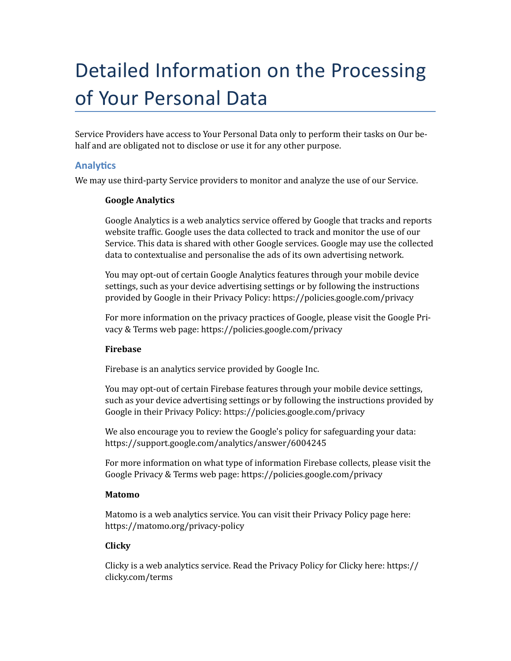# Detailed Information on the Processing of Your Personal Data

Service Providers have access to Your Personal Data only to perform their tasks on Our behalf and are obligated not to disclose or use it for any other purpose.

### **Analytics**

We may use third-party Service providers to monitor and analyze the use of our Service.

#### **Google Analytics**

Google Analytics is a web analytics service offered by Google that tracks and reports website traffic. Google uses the data collected to track and monitor the use of our Service. This data is shared with other Google services. Google may use the collected data to contextualise and personalise the ads of its own advertising network.

You may opt-out of certain Google Analytics features through your mobile device settings, such as your device advertising settings or by following the instructions provided by Google in their Privacy Policy: https://policies.google.com/privacy

For more information on the privacy practices of Google, please visit the Google Privacy & Terms web page: https://policies.google.com/privacy

#### **Firebase**

Firebase is an analytics service provided by Google Inc.

You may opt-out of certain Firebase features through your mobile device settings, such as your device advertising settings or by following the instructions provided by Google in their Privacy Policy: https://policies.google.com/privacy

We also encourage you to review the Google's policy for safeguarding your data: <https://support.google.com/analytics/answer/6004245> 

For more information on what type of information Firebase collects, please visit the Google Privacy & Terms web page: https://policies.google.com/privacy

#### **Matomo**

Matomo is a web analytics service. You can visit their Privacy Policy page here: <https://matomo.org/privacy-policy>

#### **Clicky**

Clicky is a web analytics service. Read the Privacy Policy for Clicky here: [https://](https://clicky.com/terms) [clicky.com/terms](https://clicky.com/terms)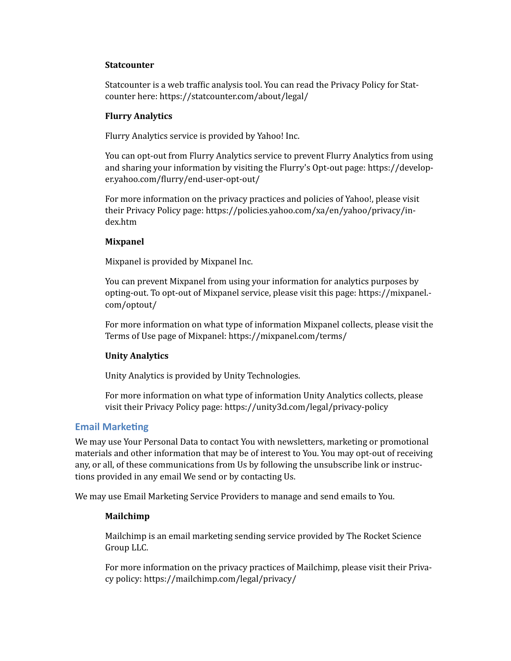#### **Statcounter**

Statcounter is a web traffic analysis tool. You can read the Privacy Policy for Statcounter here: https://statcounter.com/about/legal/

#### **Flurry Analytics**

Flurry Analytics service is provided by Yahoo! Inc.

You can opt-out from Flurry Analytics service to prevent Flurry Analytics from using and sharing your information by visiting the Flurry's Opt-out page: [https://develop](https://developer.yahoo.com/flurry/end-user-opt-out/)er.yahoo.com/flurry/end-user-opt-out/

For more information on the privacy practices and policies of Yahoo!, please visit their Privacy Policy page: [https://policies.yahoo.com/xa/en/yahoo/privacy/in](https://policies.yahoo.com/xa/en/yahoo/privacy/index.htm)[dex.htm](https://policies.yahoo.com/xa/en/yahoo/privacy/index.htm) 

#### **Mixpanel**

Mixpanel is provided by Mixpanel Inc.

You can prevent Mixpanel from using your information for analytics purposes by opting-out. To opt-out of Mixpanel service, please visit this page: [https://mixpanel.](https://mixpanel.com/optout/)[com/optout/](https://mixpanel.com/optout/) 

For more information on what type of information Mixpanel collects, please visit the Terms of Use page of Mixpanel: https://mixpanel.com/terms/

#### **Unity Analytics**

Unity Analytics is provided by Unity Technologies.

For more information on what type of information Unity Analytics collects, please visit their Privacy Policy page: https://unity3d.com/legal/privacy-policy

#### **Email Marketing**

We may use Your Personal Data to contact You with newsletters, marketing or promotional materials and other information that may be of interest to You. You may opt-out of receiving any, or all, of these communications from Us by following the unsubscribe link or instructions provided in any email We send or by contacting Us.

We may use Email Marketing Service Providers to manage and send emails to You.

#### **Mailchimp**

Mailchimp is an email marketing sending service provided by The Rocket Science Group LLC.

For more information on the privacy practices of Mailchimp, please visit their Privacy policy: <https://mailchimp.com/legal/privacy/>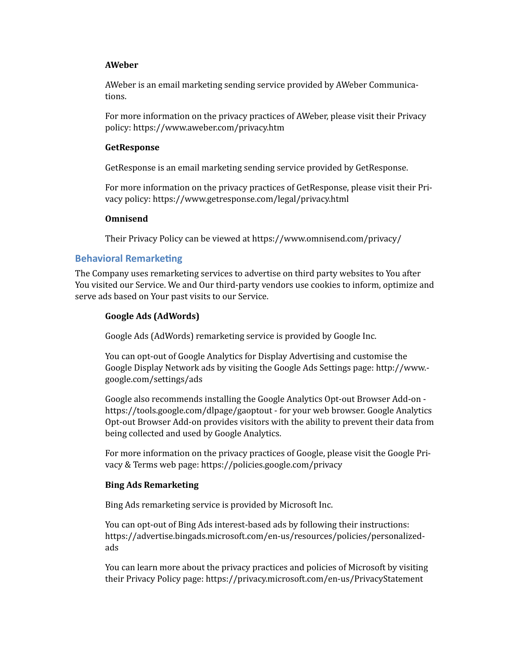#### **AWeber**

AWeber is an email marketing sending service provided by AWeber Communications. 

For more information on the privacy practices of AWeber, please visit their Privacy policy: <https://www.aweber.com/privacy.htm>

#### **GetResponse**

GetResponse is an email marketing sending service provided by GetResponse.

For more information on the privacy practices of GetResponse, please visit their Privacy policy: https://www.getresponse.com/legal/privacy.html

#### **Omnisend**

Their Privacy Policy can be viewed at https://www.omnisend.com/privacy/

### **Behavioral Remarketing**

The Company uses remarketing services to advertise on third party websites to You after You visited our Service. We and Our third-party vendors use cookies to inform, optimize and serve ads based on Your past visits to our Service.

#### **Google Ads (AdWords)**

Google Ads (AdWords) remarketing service is provided by Google Inc.

You can opt-out of Google Analytics for Display Advertising and customise the Google Display Network ads by visiting the Google Ads Settings page: [http://www.](http://www.google.com/settings/ads)[google.com/settings/ads](http://www.google.com/settings/ads) 

Google also recommends installing the Google Analytics Opt-out Browser Add-on <https://tools.google.com/dlpage/gaoptout> - for your web browser. Google Analytics Opt-out Browser Add-on provides visitors with the ability to prevent their data from being collected and used by Google Analytics.

For more information on the privacy practices of Google, please visit the Google Privacy & Terms web page: https://policies.google.com/privacy

#### **Bing Ads Remarketing**

Bing Ads remarketing service is provided by Microsoft Inc.

You can opt-out of Bing Ads interest-based ads by following their instructions: [https://advertise.bingads.microsoft.com/en-us/resources/policies/personalized](https://advertise.bingads.microsoft.com/en-us/resources/policies/personalized-ads)[ads](https://advertise.bingads.microsoft.com/en-us/resources/policies/personalized-ads) 

You can learn more about the privacy practices and policies of Microsoft by visiting their Privacy Policy page: <https://privacy.microsoft.com/en-us/PrivacyStatement>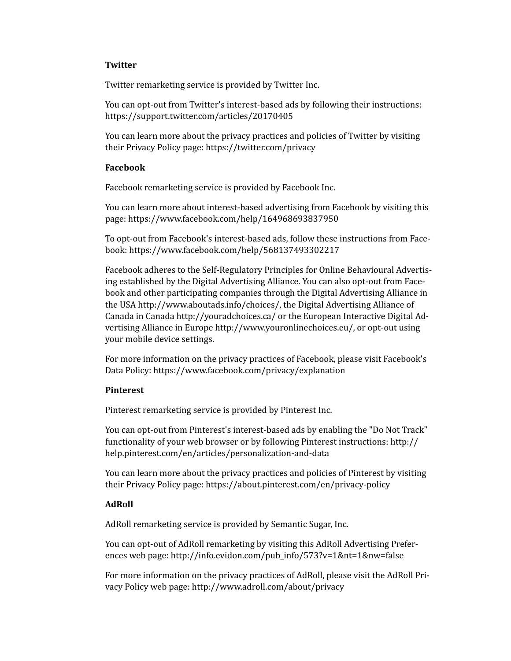#### **Twitter**

Twitter remarketing service is provided by Twitter Inc.

You can opt-out from Twitter's interest-based ads by following their instructions: <https://support.twitter.com/articles/20170405> 

You can learn more about the privacy practices and policies of Twitter by visiting their Privacy Policy page: <https://twitter.com/privacy>

#### **Facebook**

Facebook remarketing service is provided by Facebook Inc.

You can learn more about interest-based advertising from Facebook by visiting this page: https://www.facebook.com/help/164968693837950

To opt-out from Facebook's interest-based ads, follow these instructions from Facebook: <https://www.facebook.com/help/568137493302217>

Facebook adheres to the Self-Regulatory Principles for Online Behavioural Advertising established by the Digital Advertising Alliance. You can also opt-out from Facebook and other participating companies through the Digital Advertising Alliance in the USA http://www.aboutads.info/choices/, the Digital Advertising Alliance of Canada in Canada http://youradchoices.ca/ or the European Interactive Digital Advertising Alliance in Europe <http://www.youronlinechoices.eu/>, or opt-out using your mobile device settings.

For more information on the privacy practices of Facebook, please visit Facebook's Data Policy: https://www.facebook.com/privacy/explanation

#### **Pinterest**

Pinterest remarketing service is provided by Pinterest Inc.

You can opt-out from Pinterest's interest-based ads by enabling the "Do Not Track" functionality of your web browser or by following Pinterest instructions: [http://](http://help.pinterest.com/en/articles/personalization-and-data) [help.pinterest.com/en/articles/personalization-and-data](http://help.pinterest.com/en/articles/personalization-and-data) 

You can learn more about the privacy practices and policies of Pinterest by visiting their Privacy Policy page: https://about.pinterest.com/en/privacy-policy

#### **AdRoll**

AdRoll remarketing service is provided by Semantic Sugar, Inc.

You can opt-out of AdRoll remarketing by visiting this AdRoll Advertising Preferences web page: http://info.evidon.com/pub\_info/573?v=1&nt=1&nw=false

For more information on the privacy practices of AdRoll, please visit the AdRoll Privacy Policy web page: http://www.adroll.com/about/privacy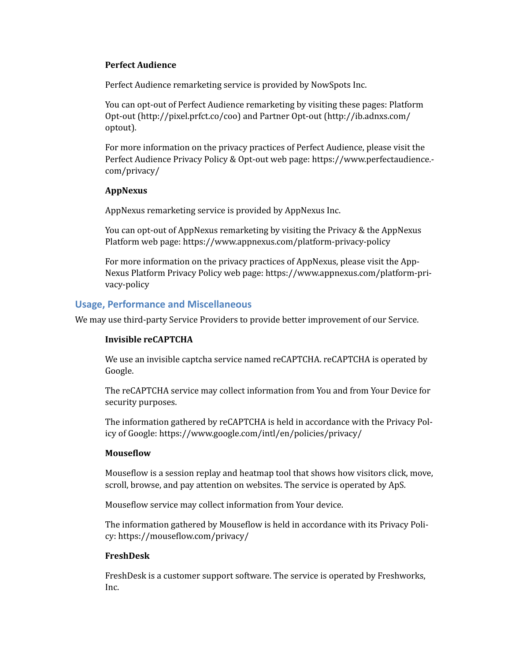#### **Perfect Audience**

Perfect Audience remarketing service is provided by NowSpots Inc.

You can opt-out of Perfect Audience remarketing by visiting these pages: Platform Opt-out ([http://pixel.prfct.co/coo\)](http://pixel.prfct.co/coo) and Partner Opt-out [\(http://ib.adnxs.com/](http://ib.adnxs.com/optout) [optout](http://ib.adnxs.com/optout)). 

For more information on the privacy practices of Perfect Audience, please visit the Perfect Audience Privacy Policy & Opt-out web page: [https://www.perfectaudience.](https://www.perfectaudience.com/privacy/index.html) [com/privacy/](https://www.perfectaudience.com/privacy/index.html) 

#### **AppNexus**

AppNexus remarketing service is provided by AppNexus Inc.

You can opt-out of AppNexus remarketing by visiting the Privacy & the AppNexus Platform web page: https://www.appnexus.com/platform-privacy-policy

For more information on the privacy practices of AppNexus, please visit the App-Nexus Platform Privacy Policy web page: https://www.appnexus.com/platform-pri[vacy-policy](https://www.appnexus.com/platform-privacy-policy) 

#### **Usage, Performance and Miscellaneous**

We may use third-party Service Providers to provide better improvement of our Service.

#### **Invisible reCAPTCHA**

We use an invisible captcha service named reCAPTCHA. reCAPTCHA is operated by Google. 

The reCAPTCHA service may collect information from You and from Your Device for security purposes.

The information gathered by reCAPTCHA is held in accordance with the Privacy Policy of Google: <https://www.google.com/intl/en/policies/privacy/>

#### **Mouseflow**

Mouseflow is a session replay and heatmap tool that shows how visitors click, move, scroll, browse, and pay attention on websites. The service is operated by ApS.

Mouseflow service may collect information from Your device.

The information gathered by Mouseflow is held in accordance with its Privacy Policy: https://mouseflow.com/privacy/

#### **FreshDesk**

FreshDesk is a customer support software. The service is operated by Freshworks, Inc.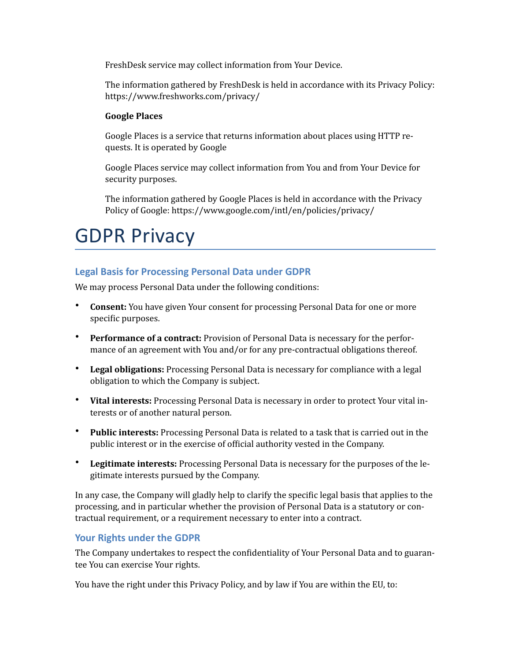FreshDesk service may collect information from Your Device.

The information gathered by FreshDesk is held in accordance with its Privacy Policy: <https://www.freshworks.com/privacy/> 

#### **Google Places**

Google Places is a service that returns information about places using HTTP requests. It is operated by Google

Google Places service may collect information from You and from Your Device for security purposes.

The information gathered by Google Places is held in accordance with the Privacy Policy of Google: https://www.google.com/intl/en/policies/privacy/

## GDPR Privacy

## **Legal Basis for Processing Personal Data under GDPR**

We may process Personal Data under the following conditions:

- **Consent:** You have given Your consent for processing Personal Data for one or more specific purposes.
- **Performance of a contract:** Provision of Personal Data is necessary for the performance of an agreement with You and/or for any pre-contractual obligations thereof.
- Legal obligations: Processing Personal Data is necessary for compliance with a legal obligation to which the Company is subject.
- Vital interests: Processing Personal Data is necessary in order to protect Your vital interests or of another natural person.
- Public interests: Processing Personal Data is related to a task that is carried out in the public interest or in the exercise of official authority vested in the Company.
- Legitimate interests: Processing Personal Data is necessary for the purposes of the legitimate interests pursued by the Company.

In any case, the Company will gladly help to clarify the specific legal basis that applies to the processing, and in particular whether the provision of Personal Data is a statutory or contractual requirement, or a requirement necessary to enter into a contract.

#### **Your Rights under the GDPR**

The Company undertakes to respect the confidentiality of Your Personal Data and to guarantee You can exercise Your rights.

You have the right under this Privacy Policy, and by law if You are within the EU, to: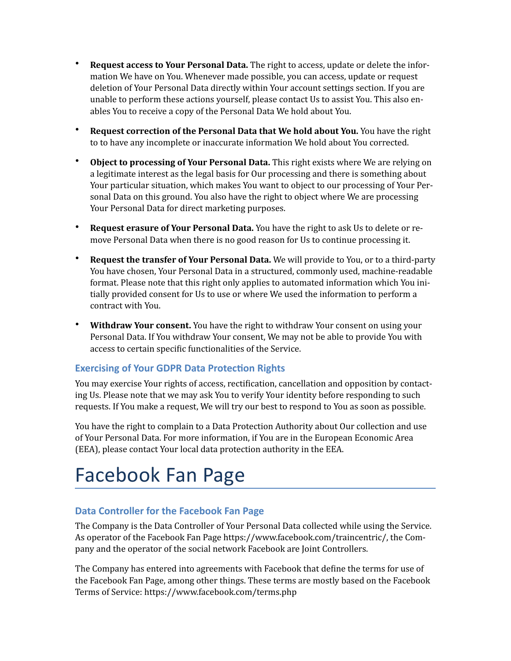- **Request access to Your Personal Data.** The right to access, update or delete the information We have on You. Whenever made possible, you can access, update or request deletion of Your Personal Data directly within Your account settings section. If you are unable to perform these actions yourself, please contact Us to assist You. This also enables You to receive a copy of the Personal Data We hold about You.
- **Request correction of the Personal Data that We hold about You.** You have the right to to have any incomplete or inaccurate information We hold about You corrected.
- Object to processing of Your Personal Data. This right exists where We are relying on a legitimate interest as the legal basis for Our processing and there is something about Your particular situation, which makes You want to object to our processing of Your Personal Data on this ground. You also have the right to object where We are processing Your Personal Data for direct marketing purposes.
- **Request erasure of Your Personal Data.** You have the right to ask Us to delete or remove Personal Data when there is no good reason for Us to continue processing it.
- Request the transfer of Your Personal Data. We will provide to You, or to a third-party You have chosen, Your Personal Data in a structured, commonly used, machine-readable format. Please note that this right only applies to automated information which You initially provided consent for Us to use or where We used the information to perform a contract with You.
- Withdraw Your consent. You have the right to withdraw Your consent on using your Personal Data. If You withdraw Your consent, We may not be able to provide You with access to certain specific functionalities of the Service.

### **Exercising of Your GDPR Data Protection Rights**

You may exercise Your rights of access, rectification, cancellation and opposition by contacting Us. Please note that we may ask You to verify Your identity before responding to such requests. If You make a request, We will try our best to respond to You as soon as possible.

You have the right to complain to a Data Protection Authority about Our collection and use of Your Personal Data. For more information, if You are in the European Economic Area (EEA), please contact Your local data protection authority in the EEA.

# Facebook Fan Page

### **Data Controller for the Facebook Fan Page**

The Company is the Data Controller of Your Personal Data collected while using the Service. As operator of the Facebook Fan Page <https://www.facebook.com/traincentric/>, the Company and the operator of the social network Facebook are Joint Controllers.

The Company has entered into agreements with Facebook that define the terms for use of the Facebook Fan Page, among other things. These terms are mostly based on the Facebook Terms of Service: https://www.facebook.com/terms.php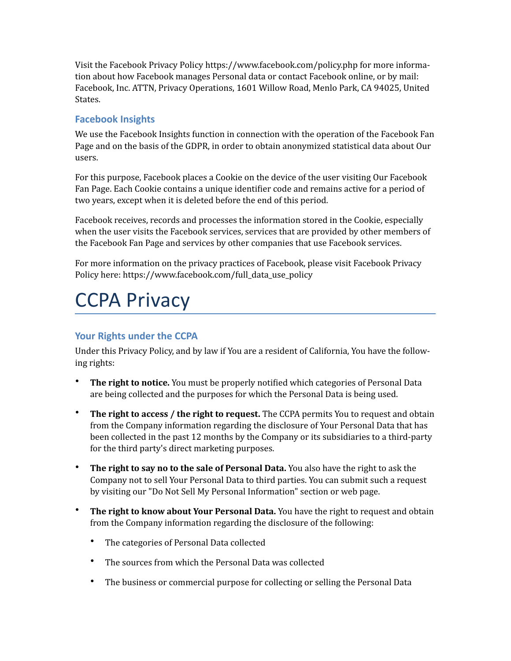Visit the Facebook Privacy Policy https://www.facebook.com/policy.php for more information about how Facebook manages Personal data or contact Facebook online, or by mail: Facebook, Inc. ATTN, Privacy Operations, 1601 Willow Road, Menlo Park, CA 94025, United States. 

## **Facebook Insights**

We use the Facebook Insights function in connection with the operation of the Facebook Fan Page and on the basis of the GDPR, in order to obtain anonymized statistical data about Our users. 

For this purpose, Facebook places a Cookie on the device of the user visiting Our Facebook Fan Page. Each Cookie contains a unique identifier code and remains active for a period of two years, except when it is deleted before the end of this period.

Facebook receives, records and processes the information stored in the Cookie, especially when the user visits the Facebook services, services that are provided by other members of the Facebook Fan Page and services by other companies that use Facebook services.

For more information on the privacy practices of Facebook, please visit Facebook Privacy Policy here: https://www.facebook.com/full\_data\_use\_policy

# CCPA Privacy

## **Your Rights under the CCPA**

Under this Privacy Policy, and by law if You are a resident of California, You have the following rights: 

- The right to notice. You must be properly notified which categories of Personal Data are being collected and the purposes for which the Personal Data is being used.
- **The right to access / the right to request.** The CCPA permits You to request and obtain from the Company information regarding the disclosure of Your Personal Data that has been collected in the past 12 months by the Company or its subsidiaries to a third-party for the third party's direct marketing purposes.
- The right to say no to the sale of Personal Data. You also have the right to ask the Company not to sell Your Personal Data to third parties. You can submit such a request by visiting our "Do Not Sell My Personal Information" section or web page.
- The right to know about Your Personal Data. You have the right to request and obtain from the Company information regarding the disclosure of the following:
	- The categories of Personal Data collected
	- The sources from which the Personal Data was collected
	- The business or commercial purpose for collecting or selling the Personal Data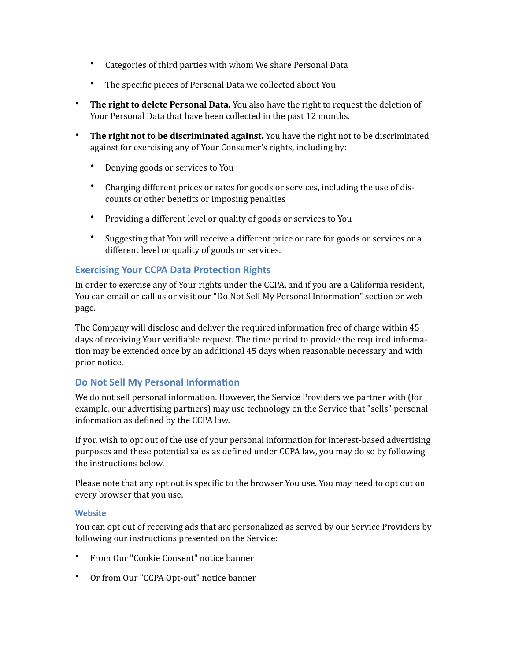- Categories of third parties with whom We share Personal Data
- The specific pieces of Personal Data we collected about You
- The right to delete Personal Data. You also have the right to request the deletion of Your Personal Data that have been collected in the past 12 months.
- The right not to be discriminated against. You have the right not to be discriminated against for exercising any of Your Consumer's rights, including by:
	- Denying goods or services to You
	- Charging different prices or rates for goods or services, including the use of discounts or other benefits or imposing penalties
	- Providing a different level or quality of goods or services to You
	- Suggesting that You will receive a different price or rate for goods or services or a different level or quality of goods or services.

### **Exercising Your CCPA Data Protection Rights**

In order to exercise any of Your rights under the CCPA, and if you are a California resident, You can email or call us or visit our "Do Not Sell My Personal Information" section or web page. 

The Company will disclose and deliver the required information free of charge within 45 days of receiving Your verifiable request. The time period to provide the required information may be extended once by an additional 45 days when reasonable necessary and with prior notice.

### **Do Not Sell My Personal Information**

We do not sell personal information. However, the Service Providers we partner with (for example, our advertising partners) may use technology on the Service that "sells" personal information as defined by the CCPA law.

If you wish to opt out of the use of your personal information for interest-based advertising purposes and these potential sales as defined under CCPA law, you may do so by following the instructions below.

Please note that any opt out is specific to the browser You use. You may need to opt out on every browser that you use.

#### **Website**

You can opt out of receiving ads that are personalized as served by our Service Providers by following our instructions presented on the Service:

- From Our "Cookie Consent" notice banner
- Or from Our "CCPA Opt-out" notice banner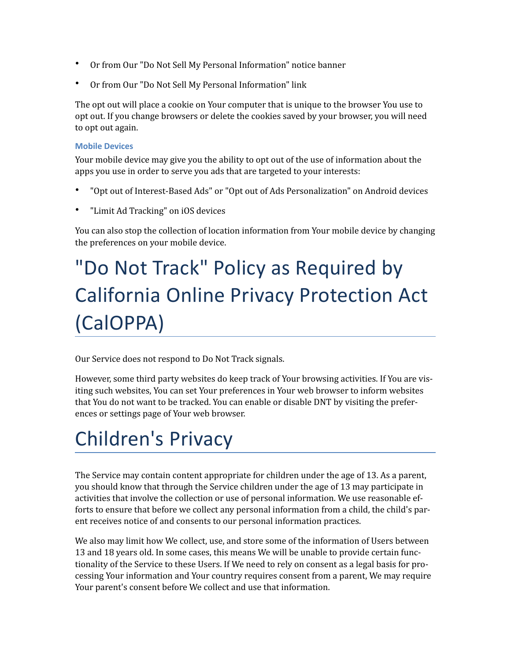- Or from Our "Do Not Sell My Personal Information" notice banner
- Or from Our "Do Not Sell My Personal Information" link

The opt out will place a cookie on Your computer that is unique to the browser You use to opt out. If you change browsers or delete the cookies saved by your browser, you will need to opt out again.

#### **Mobile Devices**

Your mobile device may give you the ability to opt out of the use of information about the apps you use in order to serve you ads that are targeted to your interests:

- "Opt out of Interest-Based Ads" or "Opt out of Ads Personalization" on Android devices
- "Limit Ad Tracking" on iOS devices

You can also stop the collection of location information from Your mobile device by changing the preferences on your mobile device.

# "Do Not Track" Policy as Required by California Online Privacy Protection Act (CalOPPA)

Our Service does not respond to Do Not Track signals.

However, some third party websites do keep track of Your browsing activities. If You are visiting such websites, You can set Your preferences in Your web browser to inform websites that You do not want to be tracked. You can enable or disable DNT by visiting the preferences or settings page of Your web browser.

# Children's Privacy

The Service may contain content appropriate for children under the age of 13. As a parent, you should know that through the Service children under the age of 13 may participate in activities that involve the collection or use of personal information. We use reasonable efforts to ensure that before we collect any personal information from a child, the child's parent receives notice of and consents to our personal information practices.

We also may limit how We collect, use, and store some of the information of Users between 13 and 18 years old. In some cases, this means We will be unable to provide certain functionality of the Service to these Users. If We need to rely on consent as a legal basis for processing Your information and Your country requires consent from a parent, We may require Your parent's consent before We collect and use that information.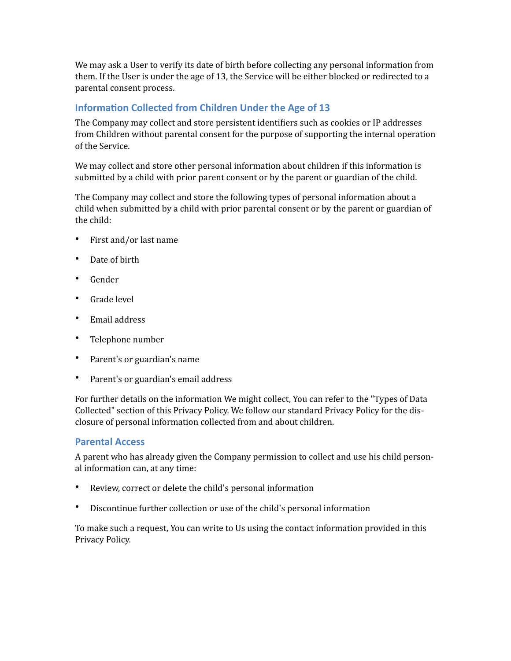We may ask a User to verify its date of birth before collecting any personal information from them. If the User is under the age of 13, the Service will be either blocked or redirected to a parental consent process.

### **Information Collected from Children Under the Age of 13**

The Company may collect and store persistent identifiers such as cookies or IP addresses from Children without parental consent for the purpose of supporting the internal operation of the Service.

We may collect and store other personal information about children if this information is submitted by a child with prior parent consent or by the parent or guardian of the child.

The Company may collect and store the following types of personal information about a child when submitted by a child with prior parental consent or by the parent or guardian of the child:

- First and/or last name
- Date of birth
- Gender
- Grade level
- Email address
- Telephone number
- Parent's or guardian's name
- Parent's or guardian's email address

For further details on the information We might collect, You can refer to the "Types of Data" Collected" section of this Privacy Policy. We follow our standard Privacy Policy for the disclosure of personal information collected from and about children.

#### **Parental Access**

A parent who has already given the Company permission to collect and use his child personal information can, at any time:

- Review, correct or delete the child's personal information
- Discontinue further collection or use of the child's personal information

To make such a request, You can write to Us using the contact information provided in this Privacy Policy.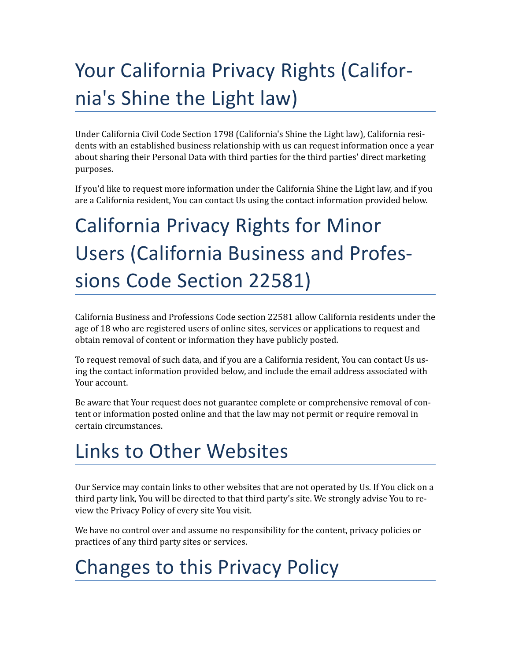# Your California Privacy Rights (California's Shine the Light law)

Under California Civil Code Section 1798 (California's Shine the Light law), California residents with an established business relationship with us can request information once a year about sharing their Personal Data with third parties for the third parties' direct marketing purposes. 

If you'd like to request more information under the California Shine the Light law, and if you are a California resident, You can contact Us using the contact information provided below.

# California Privacy Rights for Minor Users (California Business and Professions Code Section 22581)

California Business and Professions Code section 22581 allow California residents under the age of 18 who are registered users of online sites, services or applications to request and obtain removal of content or information they have publicly posted.

To request removal of such data, and if you are a California resident, You can contact Us using the contact information provided below, and include the email address associated with Your account.

Be aware that Your request does not guarantee complete or comprehensive removal of content or information posted online and that the law may not permit or require removal in certain circumstances. 

# Links to Other Websites

Our Service may contain links to other websites that are not operated by Us. If You click on a third party link, You will be directed to that third party's site. We strongly advise You to review the Privacy Policy of every site You visit.

We have no control over and assume no responsibility for the content, privacy policies or practices of any third party sites or services.

# Changes to this Privacy Policy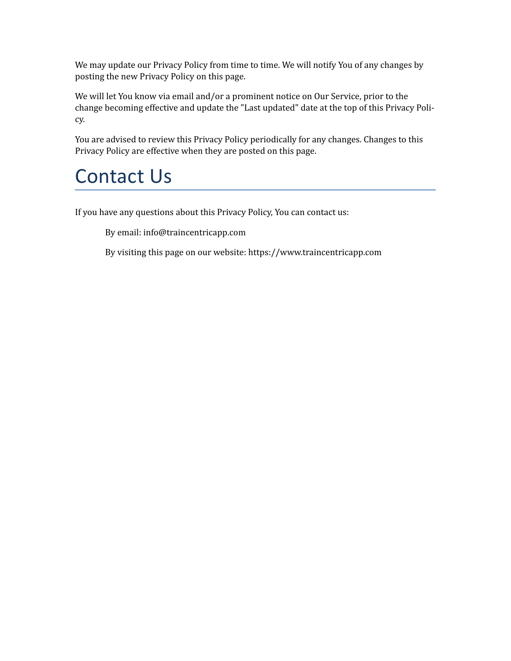We may update our Privacy Policy from time to time. We will notify You of any changes by posting the new Privacy Policy on this page.

We will let You know via email and/or a prominent notice on Our Service, prior to the change becoming effective and update the "Last updated" date at the top of this Privacy Policy. 

You are advised to review this Privacy Policy periodically for any changes. Changes to this Privacy Policy are effective when they are posted on this page.

# Contact Us

If you have any questions about this Privacy Policy, You can contact us:

By email: info@traincentricapp.com

By visiting this page on our website: https://www.traincentricapp.com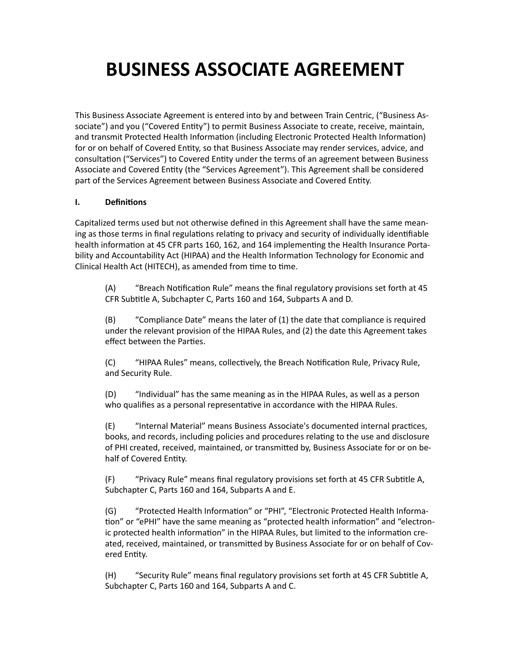# **BUSINESS ASSOCIATE AGREEMENT**

This Business Associate Agreement is entered into by and between Train Centric, ("Business Associate") and you ("Covered Entity") to permit Business Associate to create, receive, maintain, and transmit Protected Health Information (including Electronic Protected Health Information) for or on behalf of Covered Entity, so that Business Associate may render services, advice, and consultation ("Services") to Covered Entity under the terms of an agreement between Business Associate and Covered Entity (the "Services Agreement"). This Agreement shall be considered part of the Services Agreement between Business Associate and Covered Entity.

#### **I.** Definitions

Capitalized terms used but not otherwise defined in this Agreement shall have the same meaning as those terms in final regulations relating to privacy and security of individually identifiable health information at 45 CFR parts 160, 162, and 164 implementing the Health Insurance Portability and Accountability Act (HIPAA) and the Health Information Technology for Economic and Clinical Health Act (HITECH), as amended from time to time.

(A) "Breach Notification Rule" means the final regulatory provisions set forth at 45 CFR Subtitle A, Subchapter C, Parts 160 and 164, Subparts A and D.

(B) "Compliance Date" means the later of (1) the date that compliance is required under the relevant provision of the HIPAA Rules, and (2) the date this Agreement takes effect between the Parties.

(C) "HIPAA Rules" means, collectively, the Breach Notification Rule, Privacy Rule, and Security Rule.

(D) "Individual" has the same meaning as in the HIPAA Rules, as well as a person who qualifies as a personal representative in accordance with the HIPAA Rules.

(E) "Internal Material" means Business Associate's documented internal practices, books, and records, including policies and procedures relating to the use and disclosure of PHI created, received, maintained, or transmitted by, Business Associate for or on behalf of Covered Entity.

(F) "Privacy Rule" means final regulatory provisions set forth at 45 CFR Subtitle A, Subchapter C, Parts 160 and 164, Subparts A and E.

(G) "Protected Health Information" or "PHI", "Electronic Protected Health Information" or "ePHI" have the same meaning as "protected health information" and "electronic protected health information" in the HIPAA Rules, but limited to the information created, received, maintained, or transmitted by Business Associate for or on behalf of Covered Entity.

(H) "Security Rule" means final regulatory provisions set forth at 45 CFR Subtitle A, Subchapter C, Parts 160 and 164, Subparts A and C.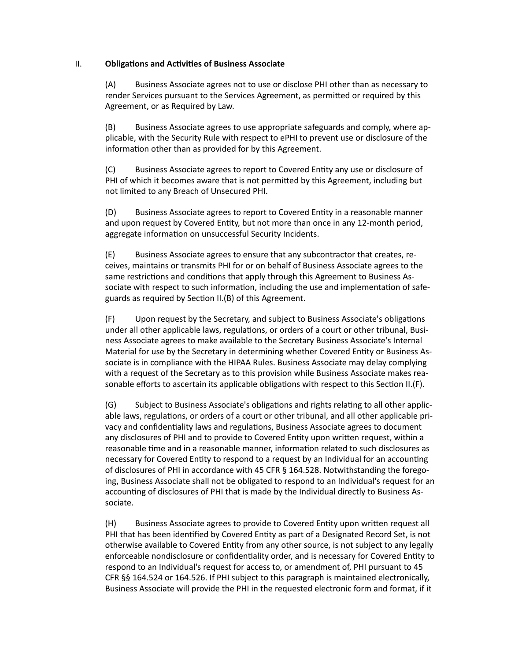#### **II.** Obligations and Activities of Business Associate

(A) Business Associate agrees not to use or disclose PHI other than as necessary to render Services pursuant to the Services Agreement, as permitted or required by this Agreement, or as Required by Law.

(B) Business Associate agrees to use appropriate safeguards and comply, where applicable, with the Security Rule with respect to ePHI to prevent use or disclosure of the information other than as provided for by this Agreement.

(C) Business Associate agrees to report to Covered Entity any use or disclosure of PHI of which it becomes aware that is not permitted by this Agreement, including but not limited to any Breach of Unsecured PHI.

(D) Business Associate agrees to report to Covered Entity in a reasonable manner and upon request by Covered Entity, but not more than once in any 12-month period, aggregate information on unsuccessful Security Incidents.

(E) Business Associate agrees to ensure that any subcontractor that creates, receives, maintains or transmits PHI for or on behalf of Business Associate agrees to the same restrictions and conditions that apply through this Agreement to Business Associate with respect to such information, including the use and implementation of safeguards as required by Section II.(B) of this Agreement.

(F) Upon request by the Secretary, and subject to Business Associate's obligations under all other applicable laws, regulations, or orders of a court or other tribunal, Business Associate agrees to make available to the Secretary Business Associate's Internal Material for use by the Secretary in determining whether Covered Entity or Business Associate is in compliance with the HIPAA Rules. Business Associate may delay complying with a request of the Secretary as to this provision while Business Associate makes reasonable efforts to ascertain its applicable obligations with respect to this Section II.(F).

(G) Subject to Business Associate's obligations and rights relating to all other applicable laws, regulations, or orders of a court or other tribunal, and all other applicable privacy and confidentiality laws and regulations, Business Associate agrees to document any disclosures of PHI and to provide to Covered Entity upon written request, within a reasonable time and in a reasonable manner, information related to such disclosures as necessary for Covered Entity to respond to a request by an Individual for an accounting of disclosures of PHI in accordance with 45 CFR § 164.528. Notwithstanding the foregoing, Business Associate shall not be obligated to respond to an Individual's request for an accounting of disclosures of PHI that is made by the Individual directly to Business Associate.

(H) Business Associate agrees to provide to Covered Entity upon written request all PHI that has been identified by Covered Entity as part of a Designated Record Set, is not otherwise available to Covered Entity from any other source, is not subject to any legally enforceable nondisclosure or confidentiality order, and is necessary for Covered Entity to respond to an Individual's request for access to, or amendment of, PHI pursuant to 45 CFR §§ 164.524 or 164.526. If PHI subject to this paragraph is maintained electronically, Business Associate will provide the PHI in the requested electronic form and format, if it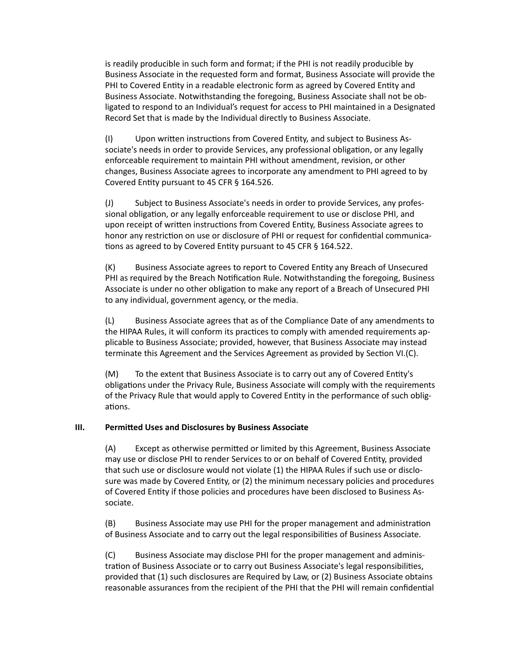is readily producible in such form and format; if the PHI is not readily producible by Business Associate in the requested form and format, Business Associate will provide the PHI to Covered Entity in a readable electronic form as agreed by Covered Entity and Business Associate. Notwithstanding the foregoing, Business Associate shall not be obligated to respond to an Individual's request for access to PHI maintained in a Designated Record Set that is made by the Individual directly to Business Associate.

(I) Upon written instructions from Covered Entity, and subject to Business Associate's needs in order to provide Services, any professional obligation, or any legally enforceable requirement to maintain PHI without amendment, revision, or other changes, Business Associate agrees to incorporate any amendment to PHI agreed to by Covered Entity pursuant to 45 CFR  $\S$  164.526.

(J) Subject to Business Associate's needs in order to provide Services, any professional obligation, or any legally enforceable requirement to use or disclose PHI, and upon receipt of written instructions from Covered Entity, Business Associate agrees to honor any restriction on use or disclosure of PHI or request for confidential communications as agreed to by Covered Entity pursuant to 45 CFR § 164.522.

(K) Business Associate agrees to report to Covered Entity any Breach of Unsecured PHI as required by the Breach Notification Rule. Notwithstanding the foregoing, Business Associate is under no other obligation to make any report of a Breach of Unsecured PHI to any individual, government agency, or the media.

(L) Business Associate agrees that as of the Compliance Date of any amendments to the HIPAA Rules, it will conform its practices to comply with amended requirements applicable to Business Associate; provided, however, that Business Associate may instead terminate this Agreement and the Services Agreement as provided by Section VI.(C).

(M) To the extent that Business Associate is to carry out any of Covered Entity's obligations under the Privacy Rule, Business Associate will comply with the requirements of the Privacy Rule that would apply to Covered Entity in the performance of such obligations.

#### **III.** Permitted Uses and Disclosures by Business Associate

(A) Except as otherwise permitted or limited by this Agreement, Business Associate may use or disclose PHI to render Services to or on behalf of Covered Entity, provided that such use or disclosure would not violate (1) the HIPAA Rules if such use or disclosure was made by Covered Entity, or (2) the minimum necessary policies and procedures of Covered Entity if those policies and procedures have been disclosed to Business Associate.

(B) Business Associate may use PHI for the proper management and administration of Business Associate and to carry out the legal responsibilities of Business Associate.

(C) Business Associate may disclose PHI for the proper management and administration of Business Associate or to carry out Business Associate's legal responsibilities, provided that (1) such disclosures are Required by Law, or (2) Business Associate obtains reasonable assurances from the recipient of the PHI that the PHI will remain confidential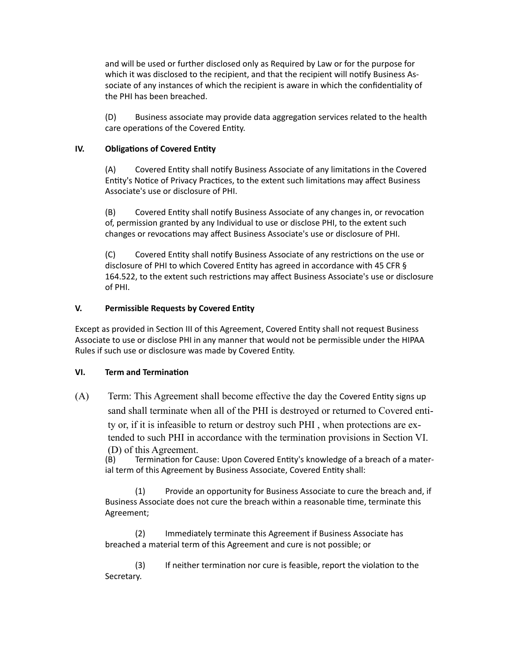and will be used or further disclosed only as Required by Law or for the purpose for which it was disclosed to the recipient, and that the recipient will notify Business Associate of any instances of which the recipient is aware in which the confidentiality of the PHI has been breached.

(D) Business associate may provide data aggregation services related to the health care operations of the Covered Entity.

#### **IV. Obligations of Covered Entity**

(A) Covered Entity shall notify Business Associate of any limitations in the Covered Entity's Notice of Privacy Practices, to the extent such limitations may affect Business Associate's use or disclosure of PHI.

(B) Covered Entity shall notify Business Associate of any changes in, or revocation of, permission granted by any Individual to use or disclose PHI, to the extent such changes or revocations may affect Business Associate's use or disclosure of PHI.

(C) Covered Entity shall notify Business Associate of any restrictions on the use or disclosure of PHI to which Covered Entity has agreed in accordance with 45 CFR § 164.522, to the extent such restrictions may affect Business Associate's use or disclosure of PHI.

#### **V.** Permissible Requests by Covered Entity

Except as provided in Section III of this Agreement, Covered Entity shall not request Business Associate to use or disclose PHI in any manner that would not be permissible under the HIPAA Rules if such use or disclosure was made by Covered Entity.

#### **VI. Term and Termination**

 $(A)$  Term: This Agreement shall become effective the day the Covered Entity signs up sand shall terminate when all of the PHI is destroyed or returned to Covered entity or, if it is infeasible to return or destroy such PHI , when protections are extended to such PHI in accordance with the termination provisions in Section VI. (D) of this Agreement.

 $(B)$  Termination for Cause: Upon Covered Entity's knowledge of a breach of a material term of this Agreement by Business Associate, Covered Entity shall:

(1) Provide an opportunity for Business Associate to cure the breach and, if Business Associate does not cure the breach within a reasonable time, terminate this Agreement;

(2) Immediately terminate this Agreement if Business Associate has breached a material term of this Agreement and cure is not possible; or

(3) If neither termination nor cure is feasible, report the violation to the Secretary.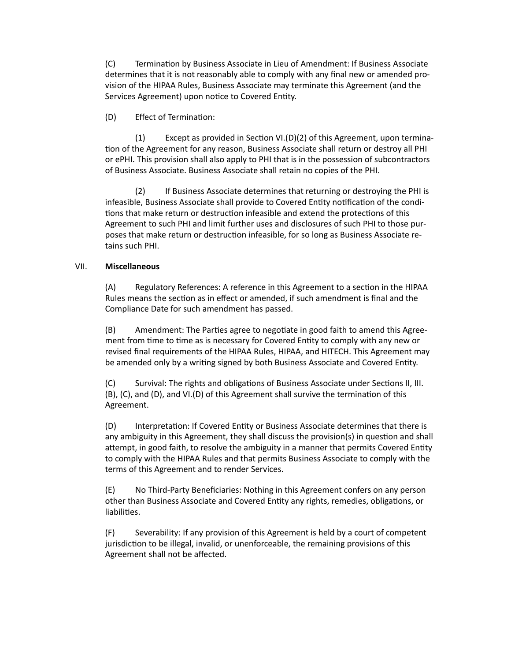(C) Termination by Business Associate in Lieu of Amendment: If Business Associate determines that it is not reasonably able to comply with any final new or amended provision of the HIPAA Rules, Business Associate may terminate this Agreement (and the Services Agreement) upon notice to Covered Entity.

#### (D) Effect of Termination:

 $(1)$  Except as provided in Section VI. $(D)(2)$  of this Agreement, upon termination of the Agreement for any reason, Business Associate shall return or destroy all PHI or ePHI. This provision shall also apply to PHI that is in the possession of subcontractors of Business Associate. Business Associate shall retain no copies of the PHI.

(2) If Business Associate determines that returning or destroying the PHI is infeasible, Business Associate shall provide to Covered Entity notification of the conditions that make return or destruction infeasible and extend the protections of this Agreement to such PHI and limit further uses and disclosures of such PHI to those purposes that make return or destruction infeasible, for so long as Business Associate retains such PHI.

#### VII. **Miscellaneous**

(A) Regulatory References: A reference in this Agreement to a section in the HIPAA Rules means the section as in effect or amended, if such amendment is final and the Compliance Date for such amendment has passed.

(B) Amendment: The Parties agree to negotiate in good faith to amend this Agreement from time to time as is necessary for Covered Entity to comply with any new or revised final requirements of the HIPAA Rules, HIPAA, and HITECH. This Agreement may be amended only by a writing signed by both Business Associate and Covered Entity.

(C) Survival: The rights and obligations of Business Associate under Sections II, III.  $(B)$ , (C), and (D), and VI.(D) of this Agreement shall survive the termination of this Agreement.

(D) Interpretation: If Covered Entity or Business Associate determines that there is any ambiguity in this Agreement, they shall discuss the provision(s) in question and shall attempt, in good faith, to resolve the ambiguity in a manner that permits Covered Entity to comply with the HIPAA Rules and that permits Business Associate to comply with the terms of this Agreement and to render Services.

(E) No Third-Party Beneficiaries: Nothing in this Agreement confers on any person other than Business Associate and Covered Entity any rights, remedies, obligations, or liabilities.

(F) Severability: If any provision of this Agreement is held by a court of competent jurisdiction to be illegal, invalid, or unenforceable, the remaining provisions of this Agreement shall not be affected.